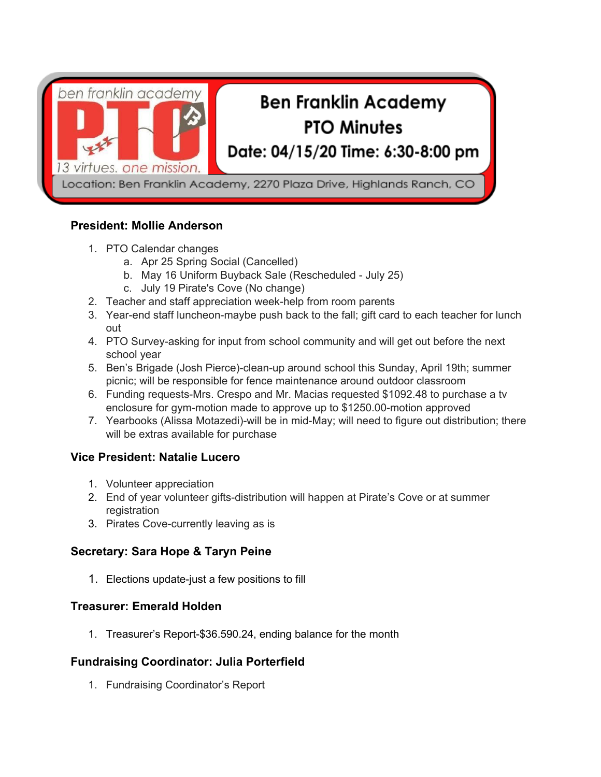

### **President: Mollie Anderson**

- 1. PTO Calendar changes
	- a. Apr 25 Spring Social (Cancelled)
	- b. May 16 Uniform Buyback Sale (Rescheduled July 25)
	- c. July 19 Pirate's Cove (No change)
- 2. Teacher and staff appreciation week-help from room parents
- 3. Year-end staff luncheon-maybe push back to the fall; gift card to each teacher for lunch out
- 4. PTO Survey-asking for input from school community and will get out before the next school year
- 5. Ben's Brigade (Josh Pierce)-clean-up around school this Sunday, April 19th; summer picnic; will be responsible for fence maintenance around outdoor classroom
- 6. Funding requests-Mrs. Crespo and Mr. Macias requested \$1092.48 to purchase a tv enclosure for gym-motion made to approve up to \$1250.00-motion approved
- 7. Yearbooks (Alissa Motazedi)-will be in mid-May; will need to figure out distribution; there will be extras available for purchase

# **Vice President: Natalie Lucero**

- 1. Volunteer appreciation
- 2. End of year volunteer gifts-distribution will happen at Pirate's Cove or at summer registration
- 3. Pirates Cove-currently leaving as is

### **Secretary: Sara Hope & Taryn Peine**

1. Elections update-just a few positions to fill

## **Treasurer: Emerald Holden**

1. Treasurer's Report-\$36.590.24, ending balance for the month

### **Fundraising Coordinator: Julia Porterfield**

1. Fundraising Coordinator's Report